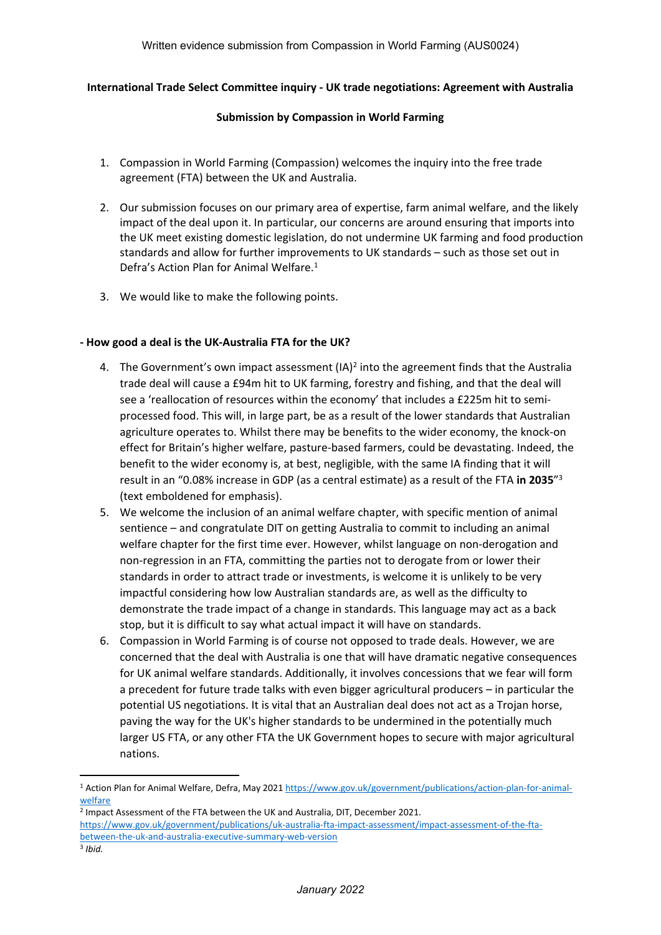### **International Trade Select Committee inquiry - UK trade negotiations: Agreement with Australia**

### **Submission by Compassion in World Farming**

- 1. Compassion in World Farming (Compassion) welcomes the inquiry into the free trade agreement (FTA) between the UK and Australia.
- 2. Our submission focuses on our primary area of expertise, farm animal welfare, and the likely impact of the deal upon it. In particular, our concerns are around ensuring that imports into the UK meet existing domestic legislation, do not undermine UK farming and food production standards and allow for further improvements to UK standards – such as those set out in Defra's Action Plan for Animal Welfare.<sup>1</sup>
- 3. We would like to make the following points.

## **- How good a deal is the UK-Australia FTA for the UK?**

- 4. The Government's own impact assessment (IA)<sup>2</sup> into the agreement finds that the Australia trade deal will cause a £94m hit to UK farming, forestry and fishing, and that the deal will see a 'reallocation of resources within the economy' that includes a £225m hit to semiprocessed food. This will, in large part, be as a result of the lower standards that Australian agriculture operates to. Whilst there may be benefits to the wider economy, the knock-on effect for Britain's higher welfare, pasture-based farmers, could be devastating. Indeed, the benefit to the wider economy is, at best, negligible, with the same IA finding that it will result in an "0.08% increase in GDP (as a central estimate) as a result of the FTA **in 2035**" 3 (text emboldened for emphasis).
- 5. We welcome the inclusion of an animal welfare chapter, with specific mention of animal sentience – and congratulate DIT on getting Australia to commit to including an animal welfare chapter for the first time ever. However, whilst language on non-derogation and non-regression in an FTA, committing the parties not to derogate from or lower their standards in order to attract trade or investments, is welcome it is unlikely to be very impactful considering how low Australian standards are, as well as the difficulty to demonstrate the trade impact of a change in standards. This language may act as a back stop, but it is difficult to say what actual impact it will have on standards.
- 6. Compassion in World Farming is of course not opposed to trade deals. However, we are concerned that the deal with Australia is one that will have dramatic negative consequences for UK animal welfare standards. Additionally, it involves concessions that we fear will form a precedent for future trade talks with even bigger agricultural producers – in particular the potential US negotiations. It is vital that an Australian deal does not act as a Trojan horse, paving the way for the UK's higher standards to be undermined in the potentially much larger US FTA, or any other FTA the UK Government hopes to secure with major agricultural nations.

<sup>1</sup> Action Plan for Animal Welfare, Defra, May 2021 [https://www.gov.uk/government/publications/action-plan-for-animal](https://www.gov.uk/government/publications/action-plan-for-animal-welfare)[welfare](https://www.gov.uk/government/publications/action-plan-for-animal-welfare)

<sup>&</sup>lt;sup>2</sup> Impact Assessment of the FTA between the UK and Australia, DIT, December 2021. [https://www.gov.uk/government/publications/uk-australia-fta-impact-assessment/impact-assessment-of-the-fta](https://www.gov.uk/government/publications/uk-australia-fta-impact-assessment/impact-assessment-of-the-fta-between-the-uk-and-australia-executive-summary-web-version)[between-the-uk-and-australia-executive-summary-web-version](https://www.gov.uk/government/publications/uk-australia-fta-impact-assessment/impact-assessment-of-the-fta-between-the-uk-and-australia-executive-summary-web-version)

<sup>3</sup> *Ibid.*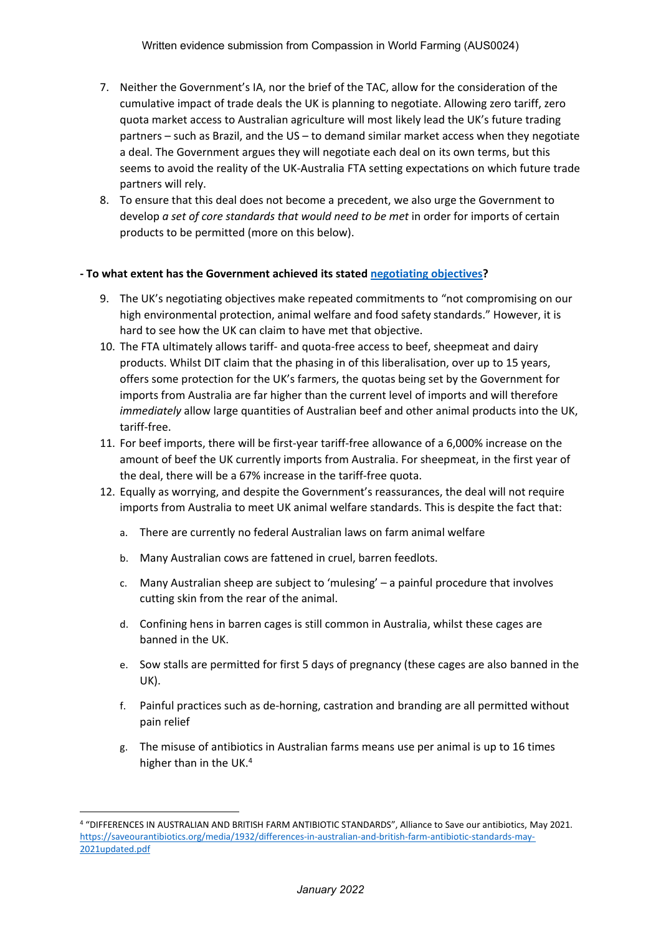- 7. Neither the Government's IA, nor the brief of the TAC, allow for the consideration of the cumulative impact of trade deals the UK is planning to negotiate. Allowing zero tariff, zero quota market access to Australian agriculture will most likely lead the UK's future trading partners – such as Brazil, and the US – to demand similar market access when they negotiate a deal. The Government argues they will negotiate each deal on its own terms, but this seems to avoid the reality of the UK-Australia FTA setting expectations on which future trade partners will rely.
- 8. To ensure that this deal does not become a precedent, we also urge the Government to develop *a set of core standards that would need to be met* in order for imports of certain products to be permitted (more on this below).

### **- To what extent has the Government achieved its stated [negotiating](https://www.gov.uk/government/publications/uks-approach-to-negotiating-a-free-trade-agreement-with-australia) [objectives?](https://www.gov.uk/government/publications/uks-approach-to-negotiating-a-free-trade-agreement-with-australia)**

- 9. The UK's negotiating objectives make repeated commitments to "not compromising on our high environmental protection, animal welfare and food safety standards." However, it is hard to see how the UK can claim to have met that objective.
- 10. The FTA ultimately allows tariff- and quota-free access to beef, sheepmeat and dairy products. Whilst DIT claim that the phasing in of this liberalisation, over up to 15 years, offers some protection for the UK's farmers, the quotas being set by the Government for imports from Australia are far higher than the current level of imports and will therefore *immediately* allow large quantities of Australian beef and other animal products into the UK, tariff-free.
- 11. For beef imports, there will be first-year tariff-free allowance of a 6,000% increase on the amount of beef the UK currently imports from Australia. For sheepmeat, in the first year of the deal, there will be a 67% increase in the tariff-free quota.
- 12. Equally as worrying, and despite the Government's reassurances, the deal will not require imports from Australia to meet UK animal welfare standards. This is despite the fact that:
	- a. There are currently no federal Australian laws on farm animal welfare
	- b. Many Australian cows are fattened in cruel, barren feedlots.
	- c. Many Australian sheep are subject to 'mulesing' a painful procedure that involves cutting skin from the rear of the animal.
	- d. Confining hens in barren cages is still common in Australia, whilst these cages are banned in the UK.
	- e. Sow stalls are permitted for first 5 days of pregnancy (these cages are also banned in the UK).
	- f. Painful practices such as de-horning, castration and branding are all permitted without pain relief
	- g. The misuse of antibiotics in Australian farms means use per animal is up to 16 times higher than in the UK.<sup>4</sup>

<sup>4</sup> "DIFFERENCES IN AUSTRALIAN AND BRITISH FARM ANTIBIOTIC STANDARDS", Alliance to Save our antibiotics, May 2021. [https://saveourantibiotics.org/media/1932/differences-in-australian-and-british-farm-antibiotic-standards-may-](https://saveourantibiotics.org/media/1932/differences-in-australian-and-british-farm-antibiotic-standards-may-2021updated.pdf)[2021updated.pdf](https://saveourantibiotics.org/media/1932/differences-in-australian-and-british-farm-antibiotic-standards-may-2021updated.pdf)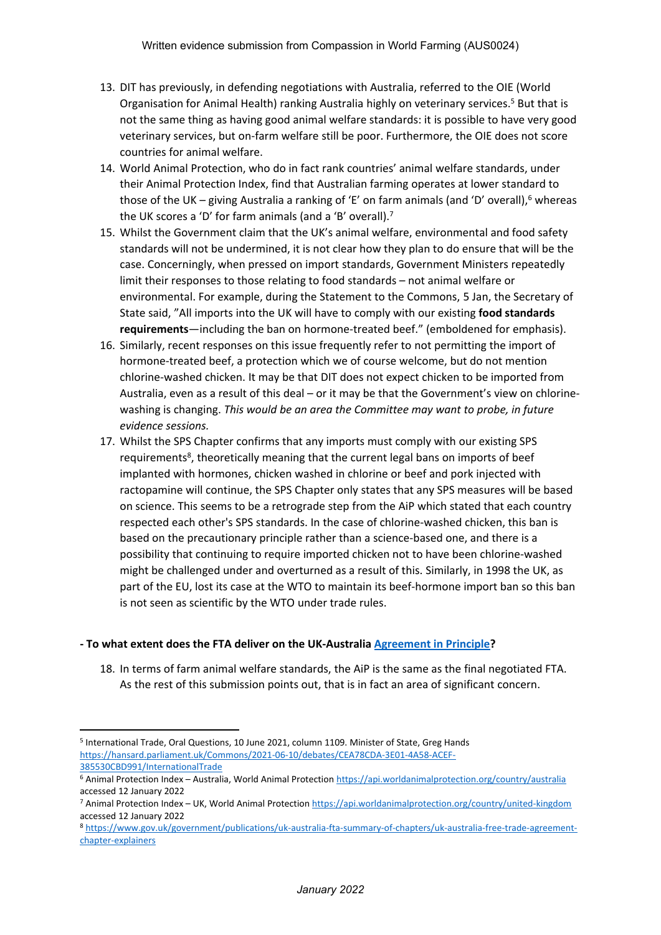- 13. DIT has previously, in defending negotiations with Australia, referred to the OIE (World Organisation for Animal Health) ranking Australia highly on veterinary services.<sup>5</sup> But that is not the same thing as having good animal welfare standards: it is possible to have very good veterinary services, but on-farm welfare still be poor. Furthermore, the OIE does not score countries for animal welfare.
- 14. World Animal Protection, who do in fact rank countries' animal welfare standards, under their Animal Protection Index, find that Australian farming operates at lower standard to those of the UK – giving Australia a ranking of 'E' on farm animals (and 'D' overall),<sup>6</sup> whereas the UK scores a 'D' for farm animals (and a 'B' overall).<sup>7</sup>
- 15. Whilst the Government claim that the UK's animal welfare, environmental and food safety standards will not be undermined, it is not clear how they plan to do ensure that will be the case. Concerningly, when pressed on import standards, Government Ministers repeatedly limit their responses to those relating to food standards – not animal welfare or environmental. For example, during the Statement to the Commons, 5 Jan, the Secretary of State said, "All imports into the UK will have to comply with our existing **food standards requirements**—including the ban on hormone-treated beef." (emboldened for emphasis).
- 16. Similarly, recent responses on this issue frequently refer to not permitting the import of hormone-treated beef, a protection which we of course welcome, but do not mention chlorine-washed chicken. It may be that DIT does not expect chicken to be imported from Australia, even as a result of this deal – or it may be that the Government's view on chlorinewashing is changing. *This would be an area the Committee may want to probe, in future evidence sessions.*
- 17. Whilst the SPS Chapter confirms that any imports must comply with our existing SPS requirements<sup>8</sup>, theoretically meaning that the current legal bans on imports of beef implanted with hormones, chicken washed in chlorine or beef and pork injected with ractopamine will continue, the SPS Chapter only states that any SPS measures will be based on science. This seems to be a retrograde step from the AiP which stated that each country respected each other's SPS standards. In the case of chlorine-washed chicken, this ban is based on the precautionary principle rather than a science-based one, and there is a possibility that continuing to require imported chicken not to have been chlorine-washed might be challenged under and overturned as a result of this. Similarly, in 1998 the UK, as part of the EU, lost its case at the WTO to maintain its beef-hormone import ban so this ban is not seen as scientific by the WTO under trade rules.

### **- To what extent does the FTA deliver on the UK-Australia [Agreement](https://www.gov.uk/government/publications/uk-australia-free-trade-agreement-negotiations-agreement-in-principle) [in](https://www.gov.uk/government/publications/uk-australia-free-trade-agreement-negotiations-agreement-in-principle) [Principle?](https://www.gov.uk/government/publications/uk-australia-free-trade-agreement-negotiations-agreement-in-principle)**

18. In terms of farm animal welfare standards, the AiP is the same as the final negotiated FTA. As the rest of this submission points out, that is in fact an area of significant concern.

<sup>&</sup>lt;sup>5</sup> International Trade, Oral Questions, 10 June 2021, column 1109. Minister of State, Greg Hands [https://hansard.parliament.uk/Commons/2021-06-10/debates/CEA78CDA-3E01-4A58-ACEF-](https://hansard.parliament.uk/Commons/2021-06-10/debates/CEA78CDA-3E01-4A58-ACEF-385530CBD991/InternationalTrade)[385530CBD991/InternationalTrade](https://hansard.parliament.uk/Commons/2021-06-10/debates/CEA78CDA-3E01-4A58-ACEF-385530CBD991/InternationalTrade)

<sup>6</sup> Animal Protection Index – Australia, World Animal Protection <https://api.worldanimalprotection.org/country/australia> accessed 12 January 2022

<sup>7</sup> Animal Protection Index – UK, World Animal Protection <https://api.worldanimalprotection.org/country/united-kingdom> accessed 12 January 2022

<sup>8</sup> [https://www.gov.uk/government/publications/uk-australia-fta-summary-of-chapters/uk-australia-free-trade-agreement](https://www.gov.uk/government/publications/uk-australia-fta-summary-of-chapters/uk-australia-free-trade-agreement-chapter-explainers)[chapter-explainers](https://www.gov.uk/government/publications/uk-australia-fta-summary-of-chapters/uk-australia-free-trade-agreement-chapter-explainers)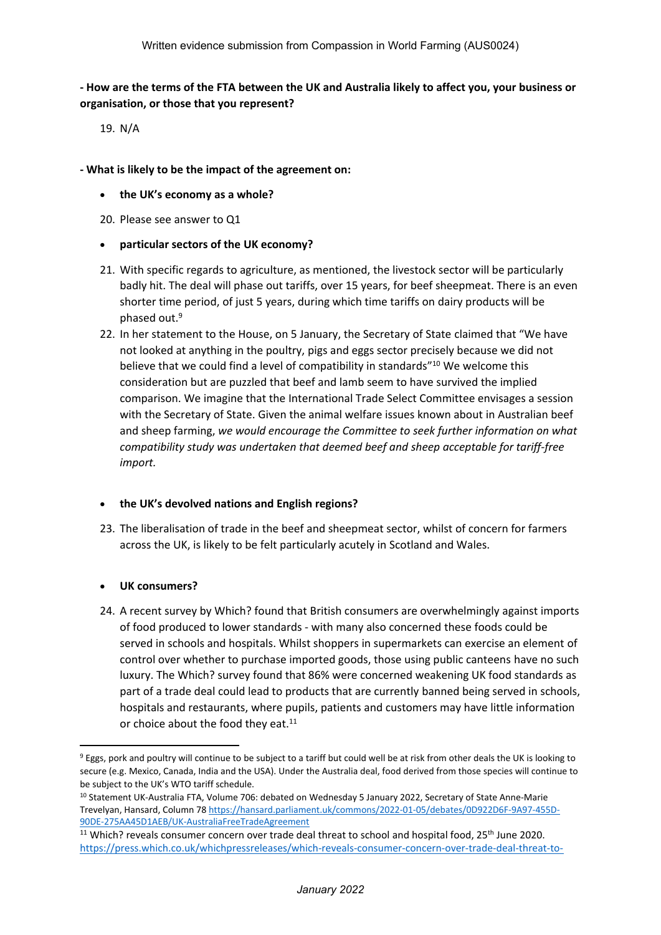# - How are the terms of the FTA between the UK and Australia likely to affect you, your business or **organisation, or those that you represent?**

19. N/A

### **- What is likely to be the impact of the agreement on:**

- **the UK's economy as a whole?**
- 20. Please see answer to Q1
- **particular sectors of the UK economy?**
- 21. With specific regards to agriculture, as mentioned, the livestock sector will be particularly badly hit. The deal will phase out tariffs, over 15 years, for beef sheepmeat. There is an even shorter time period, of just 5 years, during which time tariffs on dairy products will be phased out.<sup>9</sup>
- 22. In her statement to the House, on 5 January, the Secretary of State claimed that "We have not looked at anything in the poultry, pigs and eggs sector precisely because we did not believe that we could find a level of compatibility in standards"<sup>10</sup> We welcome this consideration but are puzzled that beef and lamb seem to have survived the implied comparison. We imagine that the International Trade Select Committee envisages a session with the Secretary of State. Given the animal welfare issues known about in Australian beef and sheep farming, *we would encourage the Committee to seek further information on what compatibility study was undertaken that deemed beef and sheep acceptable for tariff-free import.*

## **the UK's devolved nations and English regions?**

23. The liberalisation of trade in the beef and sheepmeat sector, whilst of concern for farmers across the UK, is likely to be felt particularly acutely in Scotland and Wales.

## **UK consumers?**

24. A recent survey by Which? found that British consumers are overwhelmingly against imports of food produced to lower standards - with many also concerned these foods could be served in schools and hospitals. Whilst shoppers in supermarkets can exercise an element of control over whether to purchase imported goods, those using public canteens have no such luxury. The Which? survey found that 86% were concerned weakening UK food standards as part of a trade deal could lead to products that are currently banned being served in schools, hospitals and restaurants, where pupils, patients and customers may have little information or choice about the food they eat.<sup>11</sup>

<sup>9</sup> Eggs, pork and poultry will continue to be subject to a tariff but could well be at risk from other deals the UK is looking to secure (e.g. Mexico, Canada, India and the USA). Under the Australia deal, food derived from those species will continue to be subject to the UK's WTO tariff schedule.

<sup>10</sup> Statement UK-Australia FTA, Volume 706: debated on Wednesday 5 January 2022, Secretary of State Anne-Marie Trevelyan, Hansard, Column 78 [https://hansard.parliament.uk/commons/2022-01-05/debates/0D922D6F-9A97-455D-](https://hansard.parliament.uk/commons/2022-01-05/debates/0D922D6F-9A97-455D-90DE-275AA45D1AEB/UK-AustraliaFreeTradeAgreement)[90DE-275AA45D1AEB/UK-AustraliaFreeTradeAgreement](https://hansard.parliament.uk/commons/2022-01-05/debates/0D922D6F-9A97-455D-90DE-275AA45D1AEB/UK-AustraliaFreeTradeAgreement)

<sup>&</sup>lt;sup>11</sup> Which? reveals consumer concern over trade deal threat to school and hospital food, 25<sup>th</sup> June 2020. [https://press.which.co.uk/whichpressreleases/which-reveals-consumer-concern-over-trade-deal-threat-to-](https://press.which.co.uk/whichpressreleases/which-reveals-consumer-concern-over-trade-deal-threat-to-school-and-hospital-food/)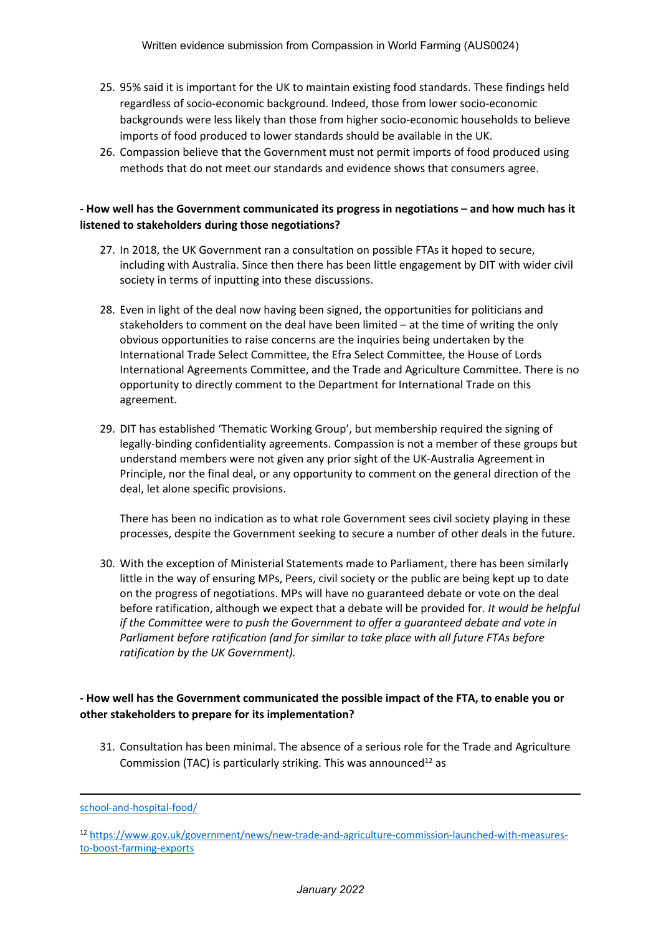- 25. 95% said it is important for the UK to maintain existing food standards. These findings held regardless of socio-economic background. Indeed, those from lower socio-economic backgrounds were less likely than those from higher socio-economic households to believe imports of food produced to lower standards should be available in the UK.
- 26. Compassion believe that the Government must not permit imports of food produced using methods that do not meet our standards and evidence shows that consumers agree.

## **- How well has the Government communicated its progress in negotiations – and how much has it listened to stakeholders during those negotiations?**

- 27. In 2018, the UK Government ran a consultation on possible FTAs it hoped to secure, including with Australia. Since then there has been little engagement by DIT with wider civil society in terms of inputting into these discussions.
- 28. Even in light of the deal now having been signed, the opportunities for politicians and stakeholders to comment on the deal have been limited – at the time of writing the only obvious opportunities to raise concerns are the inquiries being undertaken by the International Trade Select Committee, the Efra Select Committee, the House of Lords International Agreements Committee, and the Trade and Agriculture Committee. There is no opportunity to directly comment to the Department for International Trade on this agreement.
- 29. DIT has established 'Thematic Working Group', but membership required the signing of legally-binding confidentiality agreements. Compassion is not a member of these groups but understand members were not given any prior sight of the UK-Australia Agreement in Principle, nor the final deal, or any opportunity to comment on the general direction of the deal, let alone specific provisions.

There has been no indication as to what role Government sees civil society playing in these processes, despite the Government seeking to secure a number of other deals in the future.

30. With the exception of Ministerial Statements made to Parliament, there has been similarly little in the way of ensuring MPs, Peers, civil society or the public are being kept up to date on the progress of negotiations. MPs will have no guaranteed debate or vote on the deal before ratification, although we expect that a debate will be provided for. *It would be helpful if the Committee were to push the Government to offer a guaranteed debate and vote in Parliament before ratification (and for similar to take place with all future FTAs before ratification by the UK Government).*

# **- How well has the Government communicated the possible impact of the FTA, to enable you or other stakeholders to prepare for its implementation?**

31. Consultation has been minimal. The absence of a serious role for the Trade and Agriculture Commission (TAC) is particularly striking. This was announced<sup>12</sup> as

[school-and-hospital-food/](https://press.which.co.uk/whichpressreleases/which-reveals-consumer-concern-over-trade-deal-threat-to-school-and-hospital-food/)

<sup>12</sup> [https://www.gov.uk/government/news/new-trade-and-agriculture-commission-launched-with-measures](https://www.gov.uk/government/news/new-trade-and-agriculture-commission-launched-with-measures-to-boost-farming-exports)[to-boost-farming-exports](https://www.gov.uk/government/news/new-trade-and-agriculture-commission-launched-with-measures-to-boost-farming-exports)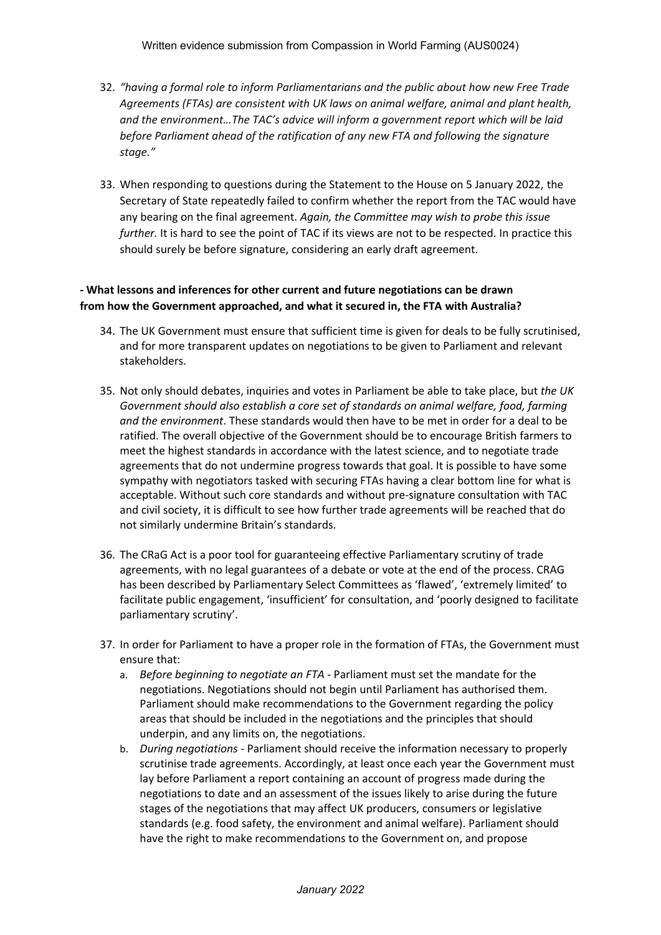- 32. *"having a formal role to inform Parliamentarians and the public about how new Free Trade Agreements (FTAs) are consistent with UK laws on animal welfare, animal and plant health, and the environment…The TAC's advice will inform a government report which will be laid before Parliament ahead of the ratification of any new FTA and following the signature stage."*
- 33. When responding to questions during the Statement to the House on 5 January 2022, the Secretary of State repeatedly failed to confirm whether the report from the TAC would have any bearing on the final agreement. *Again, the Committee may wish to probe this issue further.* It is hard to see the point of TAC if its views are not to be respected. In practice this should surely be before signature, considering an early draft agreement.

### **- What lessons and inferences for other current and future negotiations can be drawn from how the Government approached, and what it secured in, the FTA with Australia?**

- 34. The UK Government must ensure that sufficient time is given for deals to be fully scrutinised, and for more transparent updates on negotiations to be given to Parliament and relevant stakeholders.
- 35. Not only should debates, inquiries and votes in Parliament be able to take place, but *the UK Government should also establish a core set of standards on animal welfare, food, farming and the environment*. These standards would then have to be met in order for a deal to be ratified. The overall objective of the Government should be to encourage British farmers to meet the highest standards in accordance with the latest science, and to negotiate trade agreements that do not undermine progress towards that goal. It is possible to have some sympathy with negotiators tasked with securing FTAs having a clear bottom line for what is acceptable. Without such core standards and without pre-signature consultation with TAC and civil society, it is difficult to see how further trade agreements will be reached that do not similarly undermine Britain's standards.
- 36. The CRaG Act is a poor tool for guaranteeing effective Parliamentary scrutiny of trade agreements, with no legal guarantees of a debate or vote at the end of the process. CRAG has been described by Parliamentary Select Committees as 'flawed', 'extremely limited' to facilitate public engagement, 'insufficient' for consultation, and 'poorly designed to facilitate parliamentary scrutiny'.
- 37. In order for Parliament to have a proper role in the formation of FTAs, the Government must ensure that:
	- a. *Before beginning to negotiate an FTA -* Parliament must set the mandate for the negotiations. Negotiations should not begin until Parliament has authorised them. Parliament should make recommendations to the Government regarding the policy areas that should be included in the negotiations and the principles that should underpin, and any limits on, the negotiations.
	- b. *During negotiations -* Parliament should receive the information necessary to properly scrutinise trade agreements. Accordingly, at least once each year the Government must lay before Parliament a report containing an account of progress made during the negotiations to date and an assessment of the issues likely to arise during the future stages of the negotiations that may affect UK producers, consumers or legislative standards (e.g. food safety, the environment and animal welfare). Parliament should have the right to make recommendations to the Government on, and propose